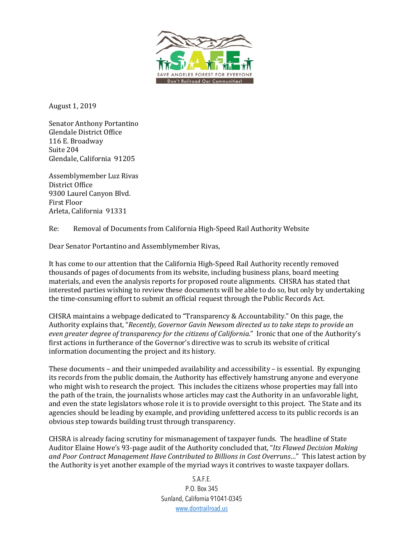

August 1, 2019

Senator Anthony Portantino Glendale District Office 116 E. Broadway Suite 204 Glendale, California 91205

Assemblymember Luz Rivas District Office 9300 Laurel Canyon Blvd. First Floor Arleta, California 91331

Re: Removal of Documents from California High-Speed Rail Authority Website

Dear Senator Portantino and Assemblymember Rivas,

It has come to our attention that the California High-Speed Rail Authority recently removed thousands of pages of documents from its website, including business plans, board meeting materials, and even the analysis reports for proposed route alignments. CHSRA has stated that interested parties wishing to review these documents will be able to do so, but only by undertaking the time-consuming effort to submit an official request through the Public Records Act.

CHSRA maintains a webpage dedicated to "Transparency & Accountability." On this page, the Authority explains that, "Recently, Governor Gavin Newsom directed us to take steps to provide an even greater degree of transparency for the citizens of California." Ironic that one of the Authority's first actions in furtherance of the Governor's directive was to scrub its website of critical information documenting the project and its history.

These documents  $-$  and their unimpeded availability and accessibility  $-$  is essential. By expunging its records from the public domain, the Authority has effectively hamstrung anyone and everyone who might wish to research the project. This includes the citizens whose properties may fall into the path of the train, the journalists whose articles may cast the Authority in an unfavorable light, and even the state legislators whose role it is to provide oversight to this project. The State and its agencies should be leading by example, and providing unfettered access to its public records is an obvious step towards building trust through transparency.

CHSRA is already facing scrutiny for mismanagement of taxpayer funds. The headline of State Auditor Elaine Howe's 93-page audit of the Authority concluded that, "Its Flawed Decision Making and Poor Contract Management Have Contributed to Billions in Cost Overruns..." This latest action by the Authority is yet another example of the myriad ways it contrives to waste taxpayer dollars.

> S.A.F.E. P.O. Box 345 Sunland, California 91041-0345 www.dontrailroad.us